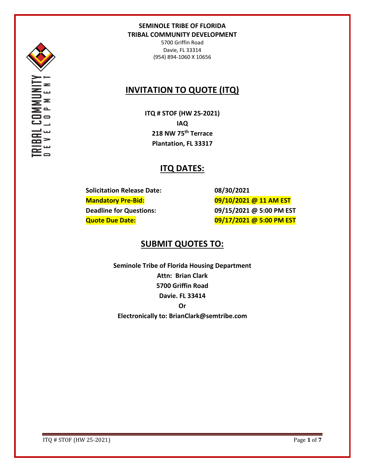

5700 Griffin Road Davie, FL 33314 (954) 894-1060 X 10656

# **INVITATION TO QUOTE (ITQ)**

**ITQ # STOF (HW 25-2021) IAQ 218 NW 75th Terrace Plantation, FL 33317**

# **ITQ DATES:**

**Solicitation Release Date: 08/30/2021**

**Mandatory Pre-Bid: 09/10/2021 @ 11 AM EST Deadline for Questions: 09/15/2021 @ 5:00 PM EST Quote Due Date: 09/17/2021 @ 5:00 PM EST**

# **SUBMIT QUOTES TO:**

**Seminole Tribe of Florida Housing Department Attn: Brian Clark 5700 Griffin Road Davie. FL 33414 Or Electronically to: BrianClark@semtribe.com** 

ITQ # STOF (HW 25-2021) Page **1** of **7**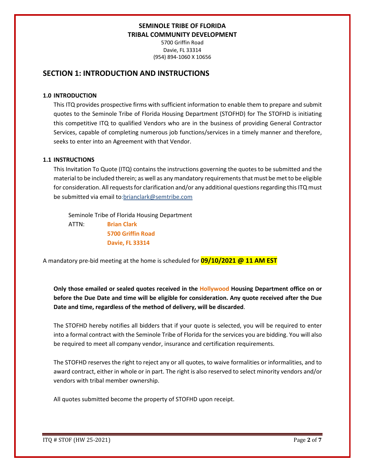5700 Griffin Road Davie, FL 33314 (954) 894-1060 X 10656

## **SECTION 1: INTRODUCTION AND INSTRUCTIONS**

#### **1.0 INTRODUCTION**

This ITQ provides prospective firms with sufficient information to enable them to prepare and submit quotes to the Seminole Tribe of Florida Housing Department (STOFHD) for The STOFHD is initiating this competitive ITQ to qualified Vendors who are in the business of providing General Contractor Services, capable of completing numerous job functions/services in a timely manner and therefore, seeks to enter into an Agreement with that Vendor.

#### **1.1 INSTRUCTIONS**

This Invitation To Quote (ITQ) contains the instructions governing the quotes to be submitted and the material to be included therein; as well as any mandatory requirements that must be met to be eligible for consideration. All requests for clarification and/or any additional questions regarding this ITQ must be submitted via email to:brianclark@semtribe.com

Seminole Tribe of Florida Housing Department

 ATTN: **Brian Clark 5700 Griffin Road Davie, FL 33314**

A mandatory pre-bid meeting at the home is scheduled for **09/10/2021 @ 11 AM EST**

**Only those emailed or sealed quotes received in the Hollywood Housing Department office on or before the Due Date and time will be eligible for consideration. Any quote received after the Due Date and time, regardless of the method of delivery, will be discarded**.

The STOFHD hereby notifies all bidders that if your quote is selected, you will be required to enter into a formal contract with the Seminole Tribe of Florida for the services you are bidding. You will also be required to meet all company vendor, insurance and certification requirements.

The STOFHD reserves the right to reject any or all quotes, to waive formalities or informalities, and to award contract, either in whole or in part. The right is also reserved to select minority vendors and/or vendors with tribal member ownership.

All quotes submitted become the property of STOFHD upon receipt.

ITQ # STOF (HW 25-2021) Page **2** of **7**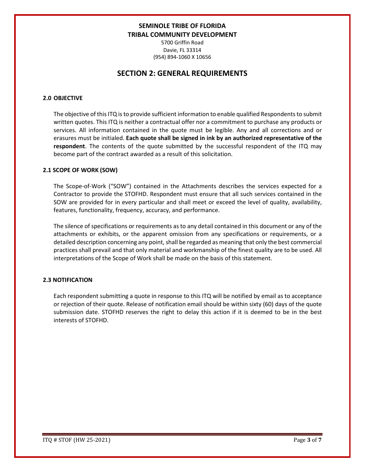5700 Griffin Road Davie, FL 33314 (954) 894-1060 X 10656

## **SECTION 2: GENERAL REQUIREMENTS**

#### **2.0 OBJECTIVE**

The objective of this ITQ is to provide sufficient information to enable qualified Respondents to submit written quotes. This ITQ is neither a contractual offer nor a commitment to purchase any products or services. All information contained in the quote must be legible. Any and all corrections and or erasures must be initialed. **Each quote shall be signed in ink by an authorized representative of the respondent**. The contents of the quote submitted by the successful respondent of the ITQ may become part of the contract awarded as a result of this solicitation.

#### **2.1 SCOPE OF WORK (SOW)**

The Scope-of-Work ("SOW") contained in the Attachments describes the services expected for a Contractor to provide the STOFHD. Respondent must ensure that all such services contained in the SOW are provided for in every particular and shall meet or exceed the level of quality, availability, features, functionality, frequency, accuracy, and performance.

The silence of specifications or requirements as to any detail contained in this document or any of the attachments or exhibits, or the apparent omission from any specifications or requirements, or a detailed description concerning any point, shall be regarded as meaning that only the best commercial practices shall prevail and that only material and workmanship of the finest quality are to be used. All interpretations of the Scope of Work shall be made on the basis of this statement.

#### **2.3 NOTIFICATION**

Each respondent submitting a quote in response to this ITQ will be notified by email as to acceptance or rejection of their quote. Release of notification email should be within sixty (60) days of the quote submission date. STOFHD reserves the right to delay this action if it is deemed to be in the best interests of STOFHD.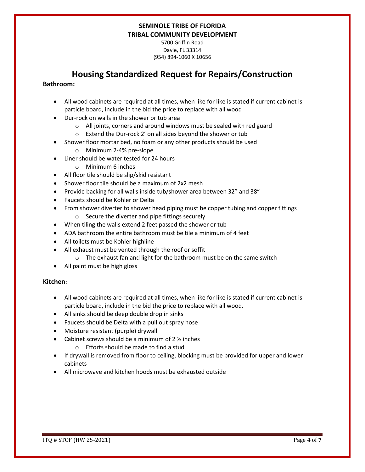5700 Griffin Road Davie, FL 33314 (954) 894-1060 X 10656

# **Housing Standardized Request for Repairs/Construction**

#### **Bathroom:**

- All wood cabinets are required at all times, when like for like is stated if current cabinet is particle board, include in the bid the price to replace with all wood
- Dur-rock on walls in the shower or tub area
	- o All joints, corners and around windows must be sealed with red guard
	- o Extend the Dur-rock 2' on all sides beyond the shower or tub
- Shower floor mortar bed, no foam or any other products should be used
	- o Minimum 2-4% pre-slope
- Liner should be water tested for 24 hours
	- o Minimum 6 inches
- All floor tile should be slip/skid resistant
- Shower floor tile should be a maximum of 2x2 mesh
- Provide backing for all walls inside tub/shower area between 32" and 38"
- Faucets should be Kohler or Delta
- From shower diverter to shower head piping must be copper tubing and copper fittings o Secure the diverter and pipe fittings securely
- When tiling the walls extend 2 feet passed the shower or tub
- ADA bathroom the entire bathroom must be tile a minimum of 4 feet
- All toilets must be Kohler highline
- All exhaust must be vented through the roof or soffit
	- o The exhaust fan and light for the bathroom must be on the same switch
- All paint must be high gloss

#### **Kitchen:**

- All wood cabinets are required at all times, when like for like is stated if current cabinet is particle board, include in the bid the price to replace with all wood.
- All sinks should be deep double drop in sinks
- Faucets should be Delta with a pull out spray hose
- Moisture resistant (purple) drywall
- Cabinet screws should be a minimum of  $2\frac{1}{2}$  inches
	- o Efforts should be made to find a stud
- If drywall is removed from floor to ceiling, blocking must be provided for upper and lower cabinets
- All microwave and kitchen hoods must be exhausted outside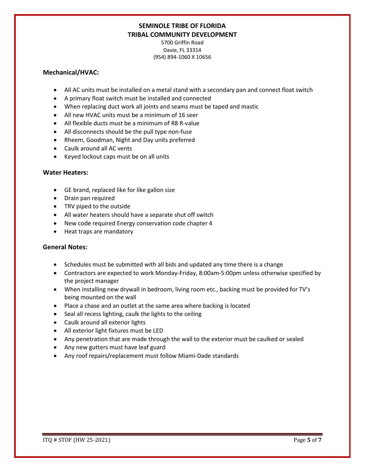5700 Griffin Road Davie, FL 33314 (954) 894-1060 X 10656

#### **Mechanical/HVAC:**

- All AC units must be installed on a metal stand with a secondary pan and connect float switch
- A primary float switch must be installed and connected
- When replacing duct work all joints and seams must be taped and mastic
- All new HVAC units must be a minimum of 16 seer
- All flexible ducts must be a minimum of R8 R-value
- All disconnects should be the pull type non-fuse
- Rheem, Goodman, Night and Day units preferred
- Caulk around all AC vents
- Keyed lockout caps must be on all units

#### **Water Heaters:**

- GE brand, replaced like for like gallon size
- Drain pan required
- TRV piped to the outside
- All water heaters should have a separate shut off switch
- New code required Energy conservation code chapter 4
- Heat traps are mandatory

#### **General Notes:**

- Schedules must be submitted with all bids and updated any time there is a change
- Contractors are expected to work Monday-Friday, 8:00am-5:00pm unless otherwise specified by the project manager
- When installing new drywall in bedroom, living room etc., backing must be provided for TV's being mounted on the wall
- Place a chase and an outlet at the same area where backing is located
- Seal all recess lighting, caulk the lights to the ceiling
- Caulk around all exterior lights
- All exterior light fixtures must be LED
- Any penetration that are made through the wall to the exterior must be caulked or sealed
- Any new gutters must have leaf guard
- Any roof repairs/replacement must follow Miami-Dade standards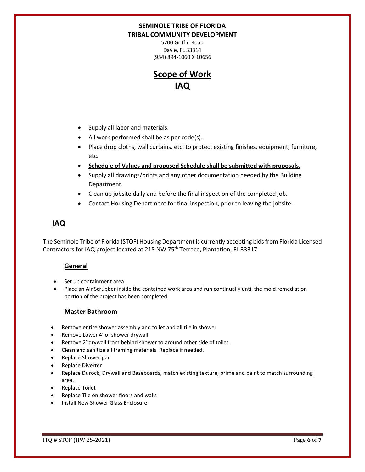5700 Griffin Road Davie, FL 33314 (954) 894-1060 X 10656

# **Scope of Work IAQ**

- Supply all labor and materials.
- All work performed shall be as per code(s).
- Place drop cloths, wall curtains, etc. to protect existing finishes, equipment, furniture, etc.
- **Schedule of Values and proposed Schedule shall be submitted with proposals.**
- Supply all drawings/prints and any other documentation needed by the Building Department.
- Clean up jobsite daily and before the final inspection of the completed job.
- Contact Housing Department for final inspection, prior to leaving the jobsite.

# **IAQ**

The Seminole Tribe of Florida (STOF) Housing Department is currently accepting bids from Florida Licensed Contractors for IAQ project located at 218 NW 75<sup>th</sup> Terrace, Plantation, FL 33317

### **General**

- Set up containment area.
- Place an Air Scrubber inside the contained work area and run continually until the mold remediation portion of the project has been completed.

#### **Master Bathroom**

- Remove entire shower assembly and toilet and all tile in shower
- Remove Lower 4' of shower drywall
- Remove 2' drywall from behind shower to around other side of toilet.
- Clean and sanitize all framing materials. Replace if needed.
- Replace Shower pan
- Replace Diverter
- Replace Durock, Drywall and Baseboards, match existing texture, prime and paint to match surrounding area.
- Replace Toilet
- Replace Tile on shower floors and walls
- Install New Shower Glass Enclosure

ITQ # STOF (HW 25-2021) Page **6** of **7**